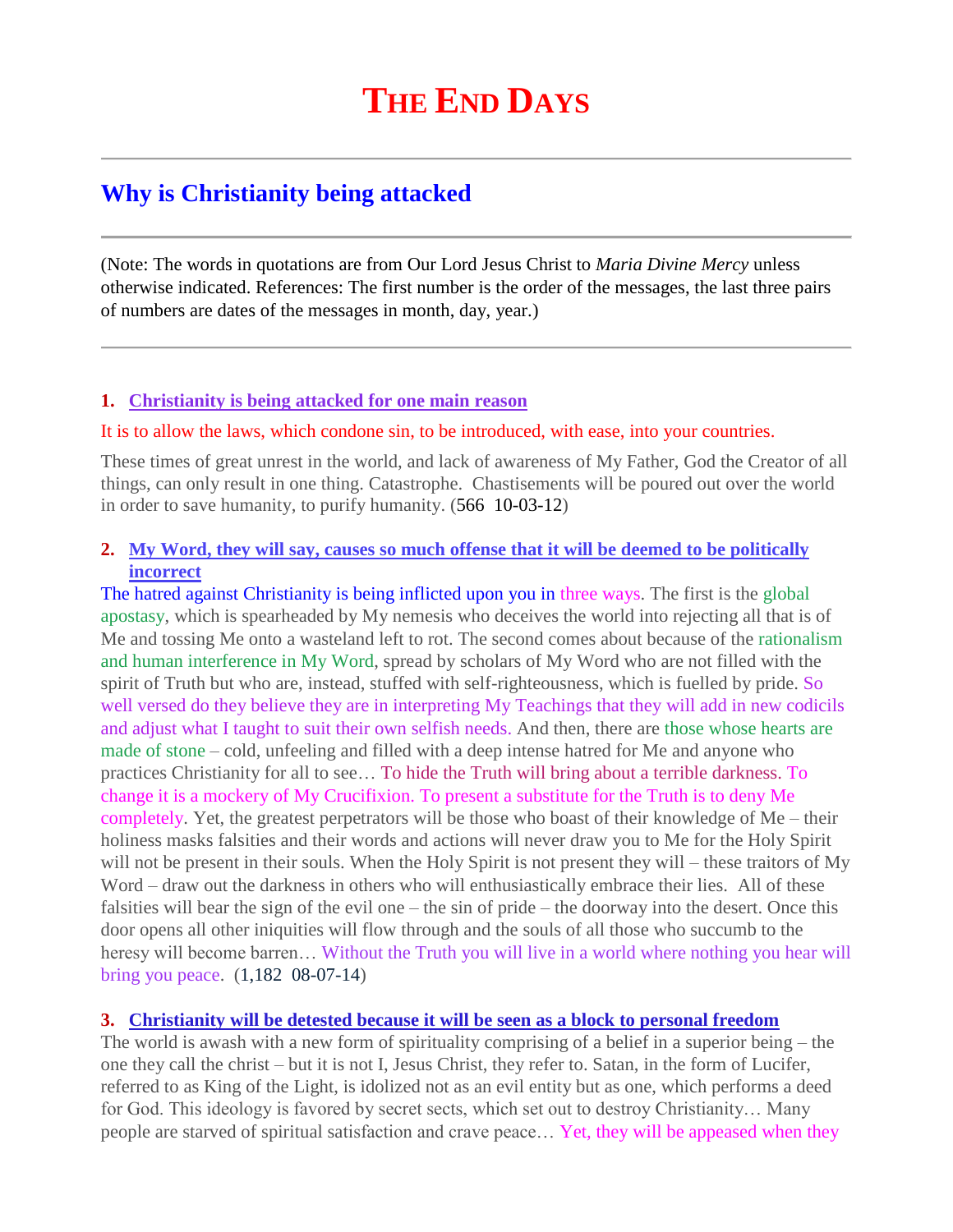# **Why is Christianity being attacked**

(Note: The words in quotations are from Our Lord Jesus Christ to *Maria Divine Mercy* unless otherwise indicated. References: The first number is the order of the messages, the last three pairs of numbers are dates of the messages in month, day, year.)

## **1. [Christianity is being attacked for one main reason](http://www.thewarningsecondcoming.com/christianity-is-being-attacked-for-one-main-reason/)**

#### It is to allow the laws, which condone sin, to be introduced, with ease, into your countries.

These times of great unrest in the world, and lack of awareness of My Father, God the Creator of all things, can only result in one thing. Catastrophe. Chastisements will be poured out over the world in order to save humanity, to purify humanity. (566 10-03-12)

# **2. [My Word, they will say, causes so much offense that it will be deemed to be politically](http://www.thewarningsecondcoming.com/my-word-they-will-say-causes-so-much-offense-that-it-will-be-deemed-to-be-politically-incorrect/)  [incorrect](http://www.thewarningsecondcoming.com/my-word-they-will-say-causes-so-much-offense-that-it-will-be-deemed-to-be-politically-incorrect/)**

The hatred against Christianity is being inflicted upon you in three ways. The first is the global apostasy, which is spearheaded by My nemesis who deceives the world into rejecting all that is of Me and tossing Me onto a wasteland left to rot. The second comes about because of the rationalism and human interference in My Word, spread by scholars of My Word who are not filled with the spirit of Truth but who are, instead, stuffed with self-righteousness, which is fuelled by pride. So well versed do they believe they are in interpreting My Teachings that they will add in new codicils and adjust what I taught to suit their own selfish needs. And then, there are those whose hearts are made of stone – cold, unfeeling and filled with a deep intense hatred for Me and anyone who practices Christianity for all to see… To hide the Truth will bring about a terrible darkness. To change it is a mockery of My Crucifixion. To present a substitute for the Truth is to deny Me completely. Yet, the greatest perpetrators will be those who boast of their knowledge of Me – their holiness masks falsities and their words and actions will never draw you to Me for the Holy Spirit will not be present in their souls. When the Holy Spirit is not present they will – these traitors of My Word – draw out the darkness in others who will enthusiastically embrace their lies. All of these falsities will bear the sign of the evil one – the sin of pride – the doorway into the desert. Once this door opens all other iniquities will flow through and the souls of all those who succumb to the heresy will become barren… Without the Truth you will live in a world where nothing you hear will bring you peace. (1,182 08-07-14)

## **3. [Christianity will be detested because it will be seen as a block to personal freedom](http://www.thewarningsecondcoming.com/christianity-will-be-detested-because-it-will-be-seen-as-a-block-to-personal-freedom/)**

The world is awash with a new form of spirituality comprising of a belief in a superior being – the one they call the christ – but it is not I, Jesus Christ, they refer to. Satan, in the form of Lucifer, referred to as King of the Light, is idolized not as an evil entity but as one, which performs a deed for God. This ideology is favored by secret sects, which set out to destroy Christianity… Many people are starved of spiritual satisfaction and crave peace… Yet, they will be appeased when they